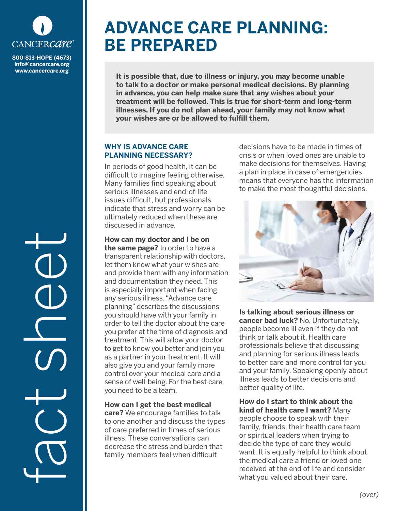

**info@cancercare.org www.cancercare.org**

fact see

# **ADVANCE CARE PLANNING: BE PREPARED**

**It is possible that, due to illness or injury, you may become unable to talk to a doctor or make personal medical decisions. By planning in advance, you can help make sure that any wishes about your treatment will be followed. This is true for short-term and long-term illnesses. If you do not plan ahead, your family may not know what your wishes are or be allowed to fulfill them.**

## **WHY IS ADVANCE CARE PLANNING NECESSARY?**

In periods of good health, it can be difficult to imagine feeling otherwise. Many families find speaking about serious illnesses and end-of-life issues difficult, but professionals indicate that stress and worry can be ultimately reduced when these are discussed in advance.

**How can my doctor and I be on the same page?** In order to have a transparent relationship with doctors, let them know what your wishes are and provide them with any information and documentation they need. This is especially important when facing any serious illness. "Advance care planning" describes the discussions you should have with your family in order to tell the doctor about the care you prefer at the time of diagnosis and treatment. This will allow your doctor to get to know you better and join you as a partner in your treatment. It will also give you and your family more control over your medical care and a sense of well-being. For the best care, you need to be a team.

## **How can I get the best medical**

**care?** We encourage families to talk to one another and discuss the types of care preferred in times of serious illness. These conversations can decrease the stress and burden that family members feel when difficult

decisions have to be made in times of crisis or when loved ones are unable to make decisions for themselves. Having a plan in place in case of emergencies means that everyone has the information to make the most thoughtful decisions.



**Is talking about serious illness or cancer bad luck?** No. Unfortunately, people become ill even if they do not think or talk about it. Health care professionals believe that discussing and planning for serious illness leads to better care and more control for you and your family. Speaking openly about illness leads to better decisions and better quality of life.

**How do I start to think about the kind of health care I want?** Many people choose to speak with their family, friends, their health care team or spiritual leaders when trying to decide the type of care they would want. It is equally helpful to think about the medical care a friend or loved one received at the end of life and consider what you valued about their care.